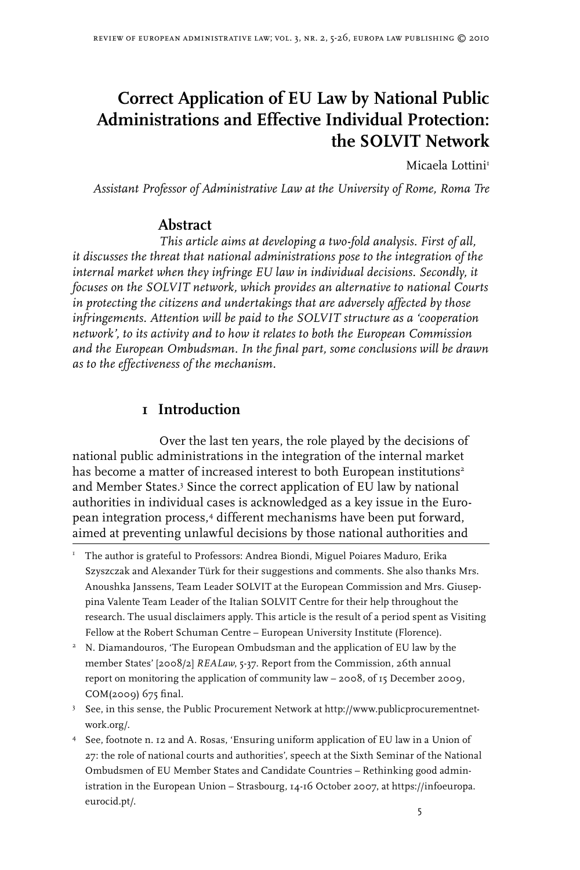# **Correct Application of EU Law by National Public Administrations and Effective Individual Protection: the SOLVIT Network**

Micaela Lottini

*Assistant Professor of Administrative Law at the University of Rome, Roma Tre*

## **Abstract**

*This article aims at developing a two-fold analysis. First of all, it discusses the threat that national administrations pose to the integration of the*  internal market when they infringe EU law in individual decisions. Secondly, it *focuses on the SOLVIT network, which provides an alternative to national Courts in protecting the citizens and undertakings that are adversely affected by those infringements. Attention will be paid to the SOLVIT structure as a 'cooperation network', to its activity and to how it relates to both the European Commission and the European Ombudsman. In the final part, some conclusions will be drawn as to the effectiveness of the mechanism.*

## **1 Introduction**

Over the last ten years, the role played by the decisions of national public administrations in the integration of the internal market has become a matter of increased interest to both European institutions<sup>2</sup> and Member States. Since the correct application of EU law by national authorities in individual cases is acknowledged as a key issue in the European integration process, different mechanisms have been put forward, aimed at preventing unlawful decisions by those national authorities and

- <sup>I</sup> The author is grateful to Professors: Andrea Biondi, Miguel Poiares Maduro, Erika Szyszczak and Alexander Türk for their suggestions and comments. She also thanks Mrs. Anoushka Janssens, Team Leader SOLVIT at the European Commission and Mrs. Giuseppina Valente Team Leader of the Italian SOLVIT Centre for their help throughout the research. The usual disclaimers apply. This article is the result of a period spent as Visiting Fellow at the Robert Schuman Centre – European University Institute (Florence).
- <sup>2</sup> N. Diamandouros, 'The European Ombudsman and the application of EU law by the member States' [2008/2] *REALaw*, 5-37. Report from the Commission, 26th annual report on monitoring the application of community law – 2008, of 15 December 2009, COM(2009) 675 final.
- $3$  See, in this sense, the Public Procurement Network at http://www.publicprocurementnetwork.org/.
- See, footnote n. 12 and A. Rosas, 'Ensuring uniform application of EU law in a Union of 27: the role of national courts and authorities', speech at the Sixth Seminar of the National Ombudsmen of EU Member States and Candidate Countries – Rethinking good administration in the European Union – Strasbourg, 14-16 October 2007, at https://infoeuropa. eurocid.pt/.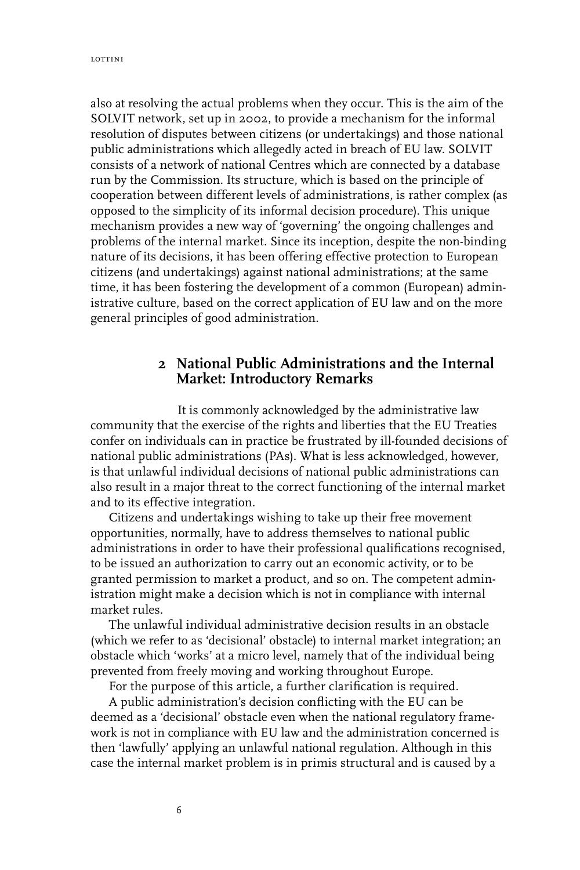also at resolving the actual problems when they occur. This is the aim of the SOLVIT network, set up in 2002, to provide a mechanism for the informal resolution of disputes between citizens (or undertakings) and those national public administrations which allegedly acted in breach of EU law. SOLVIT consists of a network of national Centres which are connected by a database run by the Commission. Its structure, which is based on the principle of cooperation between different levels of administrations, is rather complex (as opposed to the simplicity of its informal decision procedure). This unique mechanism provides a new way of 'governing' the ongoing challenges and problems of the internal market. Since its inception, despite the non-binding nature of its decisions, it has been offering effective protection to European citizens (and undertakings) against national administrations; at the same time, it has been fostering the development of a common (European) administrative culture, based on the correct application of EU law and on the more general principles of good administration.

#### **2 National Public Administrations and the Internal Market: Introductory Remarks**

It is commonly acknowledged by the administrative law community that the exercise of the rights and liberties that the EU Treaties confer on individuals can in practice be frustrated by ill-founded decisions of national public administrations (PAs). What is less acknowledged, however, is that unlawful individual decisions of national public administrations can also result in a major threat to the correct functioning of the internal market and to its effective integration.

Citizens and undertakings wishing to take up their free movement opportunities, normally, have to address themselves to national public administrations in order to have their professional qualifications recognised, to be issued an authorization to carry out an economic activity, or to be granted permission to market a product, and so on. The competent administration might make a decision which is not in compliance with internal market rules.

The unlawful individual administrative decision results in an obstacle (which we refer to as 'decisional' obstacle) to internal market integration; an obstacle which 'works' at a micro level, namely that of the individual being prevented from freely moving and working throughout Europe.

For the purpose of this article, a further clarification is required.

A public administration's decision conflicting with the EU can be deemed as a 'decisional' obstacle even when the national regulatory framework is not in compliance with EU law and the administration concerned is then 'lawfully' applying an unlawful national regulation. Although in this case the internal market problem is in primis structural and is caused by a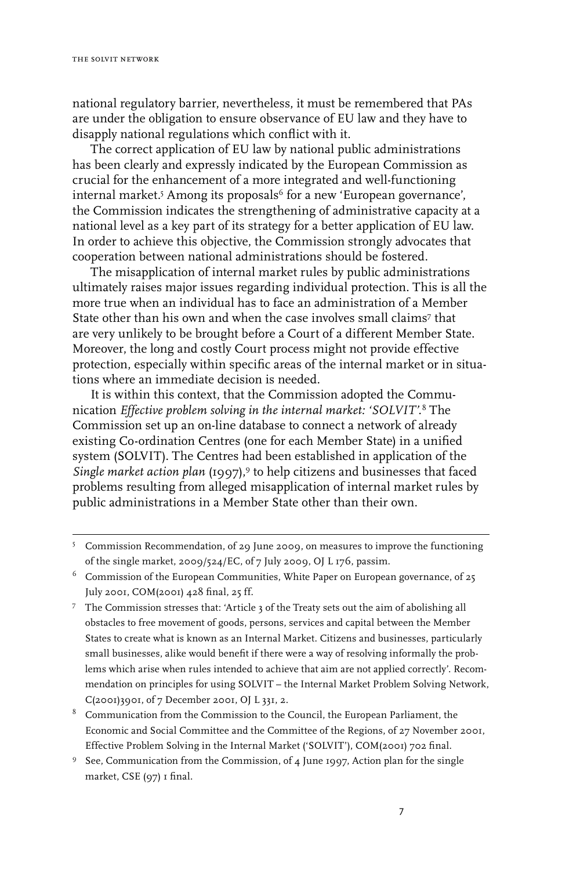national regulatory barrier, nevertheless, it must be remembered that PAs are under the obligation to ensure observance of EU law and they have to disapply national regulations which conflict with it.

The correct application of EU law by national public administrations has been clearly and expressly indicated by the European Commission as crucial for the enhancement of a more integrated and well-functioning internal market.<sup>5</sup> Among its proposals<sup>6</sup> for a new 'European governance', the Commission indicates the strengthening of administrative capacity at a national level as a key part of its strategy for a better application of EU law. In order to achieve this objective, the Commission strongly advocates that cooperation between national administrations should be fostered.

The misapplication of internal market rules by public administrations ultimately raises major issues regarding individual protection. This is all the more true when an individual has to face an administration of a Member State other than his own and when the case involves small claims<sup>7</sup> that are very unlikely to be brought before a Court of a different Member State. Moreover, the long and costly Court process might not provide effective protection, especially within specific areas of the internal market or in situations where an immediate decision is needed.

It is within this context, that the Commission adopted the Communication *Effective problem solving in the internal market: 'SOLVIT'.* The Commission set up an on-line database to connect a network of already existing Co-ordination Centres (one for each Member State) in a unified system (SOLVIT). The Centres had been established in application of the *Single market action plan* (1997),<sup>9</sup> to help citizens and businesses that faced problems resulting from alleged misapplication of internal market rules by public administrations in a Member State other than their own.

- The Commission stresses that: 'Article 3 of the Treaty sets out the aim of abolishing all obstacles to free movement of goods, persons, services and capital between the Member States to create what is known as an Internal Market. Citizens and businesses, particularly small businesses, alike would benefit if there were a way of resolving informally the problems which arise when rules intended to achieve that aim are not applied correctly'. Recommendation on principles for using SOLVIT – the Internal Market Problem Solving Network, C(2001)3901, of 7 December 2001, OJ L 331, 2.
- <sup>8</sup> Communication from the Commission to the Council, the European Parliament, the Economic and Social Committee and the Committee of the Regions, of 27 November 2001, Effective Problem Solving in the Internal Market ('SOLVIT'), COM(2001) 702 final.
- <sup>9</sup> See, Communication from the Commission, of 4 June 1997, Action plan for the single market, CSE (97) I final.

Commission Recommendation, of 29 June 2009, on measures to improve the functioning of the single market, 2009/524/EC, of 7 July 2009, OJ L 176, passim.

 $6$  Commission of the European Communities, White Paper on European governance, of 25 July 2001, COM(2001) 428 final, 25 ff.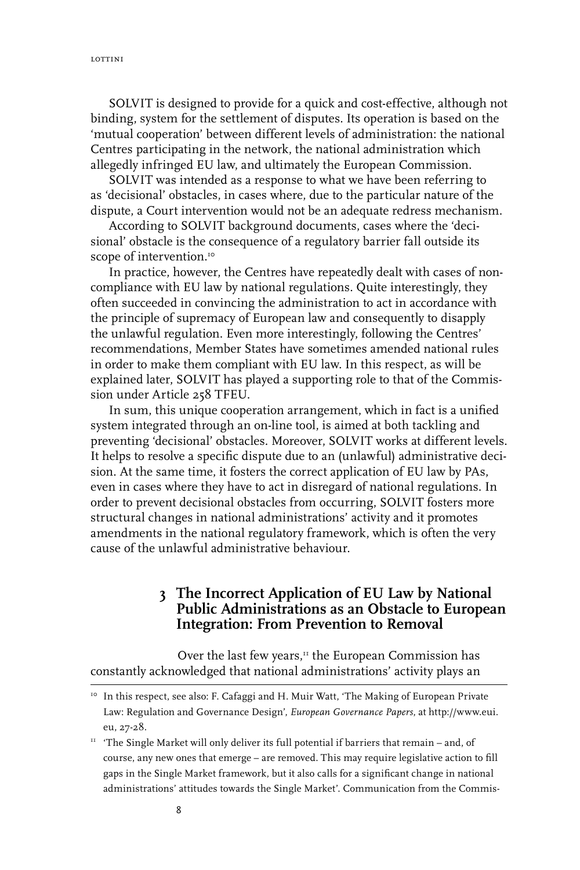SOLVIT is designed to provide for a quick and cost-effective, although not binding, system for the settlement of disputes. Its operation is based on the 'mutual cooperation' between different levels of administration: the national Centres participating in the network, the national administration which allegedly infringed EU law, and ultimately the European Commission.

SOLVIT was intended as a response to what we have been referring to as 'decisional' obstacles, in cases where, due to the particular nature of the dispute, a Court intervention would not be an adequate redress mechanism.

According to SOLVIT background documents, cases where the 'decisional' obstacle is the consequence of a regulatory barrier fall outside its scope of intervention.<sup>10</sup>

In practice, however, the Centres have repeatedly dealt with cases of noncompliance with EU law by national regulations. Quite interestingly, they often succeeded in convincing the administration to act in accordance with the principle of supremacy of European law and consequently to disapply the unlawful regulation. Even more interestingly, following the Centres' recommendations, Member States have sometimes amended national rules in order to make them compliant with EU law. In this respect, as will be explained later, SOLVIT has played a supporting role to that of the Commission under Article 258 TFEU.

In sum, this unique cooperation arrangement, which in fact is a unified system integrated through an on-line tool, is aimed at both tackling and preventing 'decisional' obstacles. Moreover, SOLVIT works at different levels. It helps to resolve a specific dispute due to an (unlawful) administrative decision. At the same time, it fosters the correct application of EU law by PAs, even in cases where they have to act in disregard of national regulations. In order to prevent decisional obstacles from occurring, SOLVIT fosters more structural changes in national administrations' activity and it promotes amendments in the national regulatory framework, which is often the very cause of the unlawful administrative behaviour.

## **3 The Incorrect Application of EU Law by National Public Administrations as an Obstacle to European Integration: From Prevention to Removal**

Over the last few years, $\mathbf{u}$  the European Commission has constantly acknowledged that national administrations' activity plays an

<sup>&</sup>lt;sup>10</sup> In this respect, see also: F. Cafaggi and H. Muir Watt, 'The Making of European Private Law: Regulation and Governance Design', *European Governance Papers*, at http://www.eui. eu, 27-28.

 $11$  'The Single Market will only deliver its full potential if barriers that remain – and, of course, any new ones that emerge – are removed. This may require legislative action to fill gaps in the Single Market framework, but it also calls for a significant change in national administrations' attitudes towards the Single Market'. Communication from the Commis-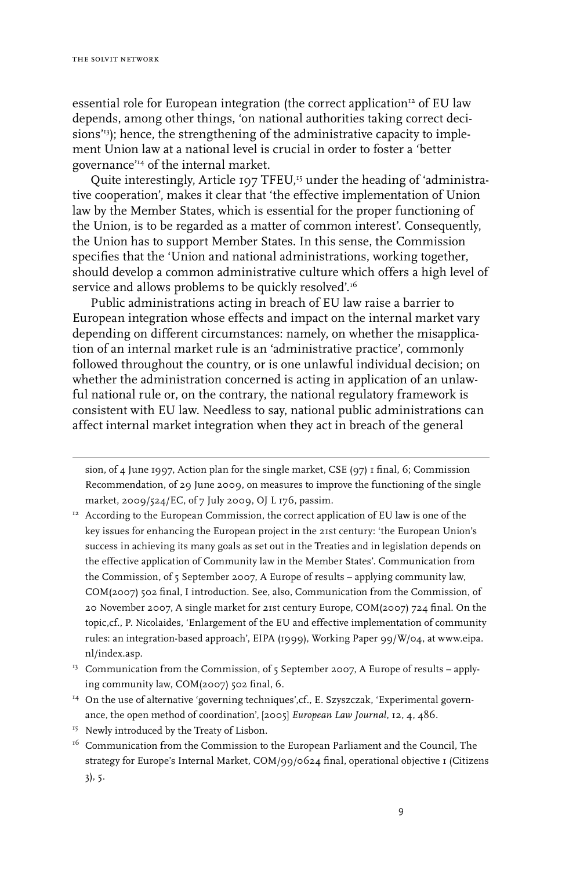essential role for European integration (the correct application<sup>12</sup> of EU law depends, among other things, 'on national authorities taking correct decisions<sup>'13</sup>); hence, the strengthening of the administrative capacity to implement Union law at a national level is crucial in order to foster a 'better governance'14 of the internal market.

Quite interestingly, Article 197 TFEU,<sup>15</sup> under the heading of 'administrative cooperation', makes it clear that 'the effective implementation of Union law by the Member States, which is essential for the proper functioning of the Union, is to be regarded as a matter of common interest'*.* Consequently, the Union has to support Member States. In this sense, the Commission specifies that the 'Union and national administrations, working together, should develop a common administrative culture which offers a high level of service and allows problems to be quickly resolved'.<sup>16</sup>

Public administrations acting in breach of EU law raise a barrier to European integration whose effects and impact on the internal market vary depending on different circumstances: namely, on whether the misapplication of an internal market rule is an 'administrative practice', commonly followed throughout the country, or is one unlawful individual decision; on whether the administration concerned is acting in application of an unlawful national rule or, on the contrary, the national regulatory framework is consistent with EU law. Needless to say, national public administrations can affect internal market integration when they act in breach of the general

sion, of 4 June 1997, Action plan for the single market, CSE (97) 1 final, 6; Commission Recommendation, of 29 June 2009, on measures to improve the functioning of the single market, 2009/524/EC, of 7 July 2009, OJ L 176, passim.

- <sup>12</sup> According to the European Commission, the correct application of EU law is one of the key issues for enhancing the European project in the 21st century: 'the European Union's success in achieving its many goals as set out in the Treaties and in legislation depends on the effective application of Community law in the Member States'. Communication from the Commission, of 5 September 2007, A Europe of results – applying community law, COM(2007) 502 final, I introduction. See, also, Communication from the Commission, of 20 November 2007, A single market for 21st century Europe, COM(2007) 724 final. On the topic,cf., P. Nicolaides, 'Enlargement of the EU and effective implementation of community rules: an integration-based approach', EIPA (1999), Working Paper 99/W/04, at www.eipa. nl/index.asp.
- <sup>13</sup> Communication from the Commission, of 5 September 2007, A Europe of results applying community law, COM(2007) 502 final, 6.
- <sup>14</sup> On the use of alternative 'governing techniques', cf., E. Szyszczak, 'Experimental governance, the open method of coordination', [2005] *European Law Journal*, 12, 4, 486.
- <sup>15</sup> Newly introduced by the Treaty of Lisbon.
- <sup>16</sup> Communication from the Commission to the European Parliament and the Council, The strategy for Europe's Internal Market, COM/99/0624 final, operational objective I (Citizens 3), 5.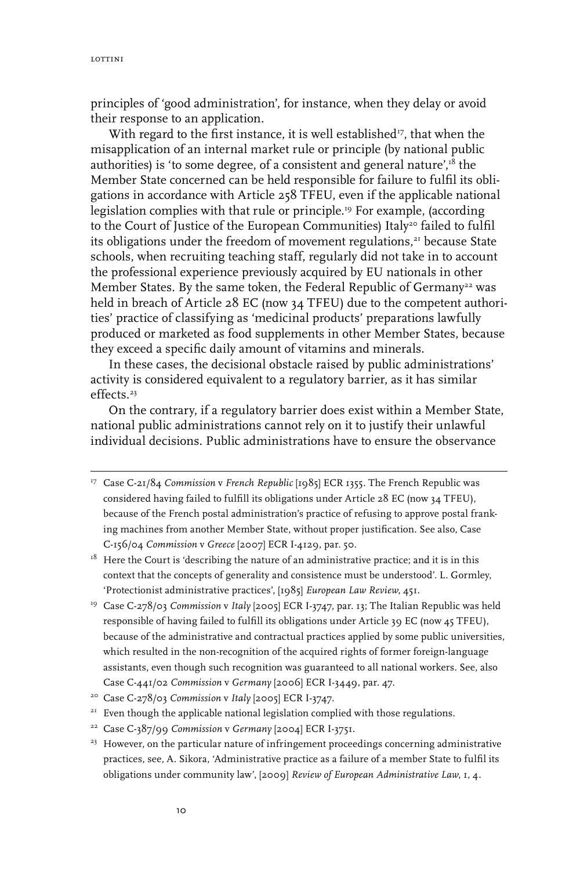principles of 'good administration', for instance, when they delay or avoid their response to an application.

With regard to the first instance, it is well established $\nu$ , that when the misapplication of an internal market rule or principle (by national public authorities) is 'to some degree, of a consistent and general nature',<sup>18</sup> the Member State concerned can be held responsible for failure to fulfil its obligations in accordance with Article 258 TFEU, even if the applicable national legislation complies with that rule or principle.<sup>19</sup> For example, (according to the Court of Justice of the European Communities) Italy<sup>20</sup> failed to fulfil its obligations under the freedom of movement regulations,<sup>21</sup> because State schools, when recruiting teaching staff, regularly did not take in to account the professional experience previously acquired by EU nationals in other Member States. By the same token, the Federal Republic of Germany<sup>22</sup> was held in breach of Article 28 EC (now 34 TFEU) due to the competent authorities' practice of classifying as 'medicinal products' preparations lawfully produced or marketed as food supplements in other Member States, because they exceed a specific daily amount of vitamins and minerals.

In these cases, the decisional obstacle raised by public administrations' activity is considered equivalent to a regulatory barrier, as it has similar effects.<sup>23</sup>

On the contrary, if a regulatory barrier does exist within a Member State, national public administrations cannot rely on it to justify their unlawful individual decisions. Public administrations have to ensure the observance

19 Case C-278/03 *Commission* v *Italy* [2005] ECR I-3747, par. 13; The Italian Republic was held responsible of having failed to fulfill its obligations under Article 39 EC (now 45 TFEU), because of the administrative and contractual practices applied by some public universities, which resulted in the non-recognition of the acquired rights of former foreign-language assistants, even though such recognition was guaranteed to all national workers. See, also Case C‑441/02 *Commission* v *Germany* [2006] ECR I-3449, par. 47.

<sup>&</sup>lt;sup>17</sup> Case C-21/84 *Commission* v French Republic [1985] ECR 1355. The French Republic was considered having failed to fulfill its obligations under Article 28 EC (now 34 TFEU), because of the French postal administration's practice of refusing to approve postal franking machines from another Member State, without proper justification. See also, Case C-156/04 *Commission* v *Greece* [2007] ECR I-4129, par. 50.

 $1<sup>8</sup>$  Here the Court is 'describing the nature of an administrative practice; and it is in this context that the concepts of generality and consistence must be understood'. L. Gormley, 'Protectionist administrative practices', [1985] *European Law Review*, 451.

<sup>20</sup> Case C-278/03 *Commission* v *Italy* [2005] ECR I-3747.

 $21$  Even though the applicable national legislation complied with those regulations.

<sup>22</sup> Case C-387/99 *Commission* v *Germany* [2004] ECR I-3751.

<sup>&</sup>lt;sup>23</sup> However, on the particular nature of infringement proceedings concerning administrative practices, see, A. Sikora, 'Administrative practice as a failure of a member State to fulfil its obligations under community law', [2009] *Review of European Administrative Law*, 1, 4.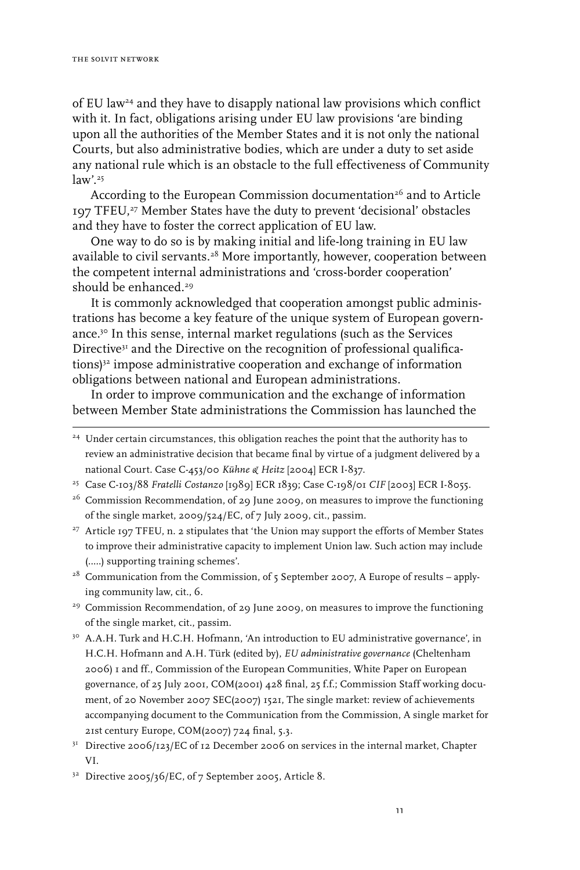of EU law24 and they have to disapply national law provisions which conflict with it. In fact, obligations arising under EU law provisions 'are binding upon all the authorities of the Member States and it is not only the national Courts, but also administrative bodies, which are under a duty to set aside any national rule which is an obstacle to the full effectiveness of Community  $law$ '.<sup>25</sup>

According to the European Commission documentation<sup>26</sup> and to Article 197 TFEU,27 Member States have the duty to prevent 'decisional' obstacles and they have to foster the correct application of EU law.

One way to do so is by making initial and life-long training in EU law available to civil servants.<sup>28</sup> More importantly, however, cooperation between the competent internal administrations and 'cross-border cooperation' should be enhanced.<sup>29</sup>

It is commonly acknowledged that cooperation amongst public administrations has become a key feature of the unique system of European governance.30 In this sense, internal market regulations (such as the Services Directive<sup>31</sup> and the Directive on the recognition of professional qualifications)<sup>32</sup> impose administrative cooperation and exchange of information obligations between national and European administrations.

In order to improve communication and the exchange of information between Member State administrations the Commission has launched the

25 Case C-103/88 *Fratelli Costanzo* [1989] ECR 1839; Case C-198/01 *CIF* [2003] ECR I-8055.

- <sup>27</sup> Article 197 TFEU, n. 2 stipulates that 'the Union may support the efforts of Member States to improve their administrative capacity to implement Union law. Such action may include (…..) supporting training schemes'.
- $2^8$  Communication from the Commission, of 5 September 2007, A Europe of results applying community law, cit., 6.
- <sup>29</sup> Commission Recommendation, of 29 June 2009, on measures to improve the functioning of the single market, cit., passim.
- <sup>30</sup> A.A.H. Turk and H.C.H. Hofmann, 'An introduction to EU administrative governance', in H.C.H. Hofmann and A.H. Türk (edited by), *EU administrative governance* (Cheltenham 2006) 1 and ff., Commission of the European Communities, White Paper on European governance, of 25 July 2001, COM(2001) 428 final, 25 f.f.; Commission Staff working document, of 20 November 2007 SEC(2007) 1521, The single market: review of achievements accompanying document to the Communication from the Commission, A single market for 21st century Europe, COM(2007) 724 final, 5.3.
- $3<sup>1</sup>$  Directive 2006/123/EC of 12 December 2006 on services in the internal market, Chapter VI.

<sup>&</sup>lt;sup>24</sup> Under certain circumstances, this obligation reaches the point that the authority has to review an administrative decision that became final by virtue of a judgment delivered by a national Court. Case C-453/00 *Kühne & Heitz* [2004] ECR I-837.

<sup>&</sup>lt;sup>26</sup> Commission Recommendation, of 29 June 2009, on measures to improve the functioning of the single market, 2009/524/EC, of 7 July 2009, cit., passim.

<sup>&</sup>lt;sup>32</sup> Directive 2005/36/EC, of 7 September 2005, Article 8.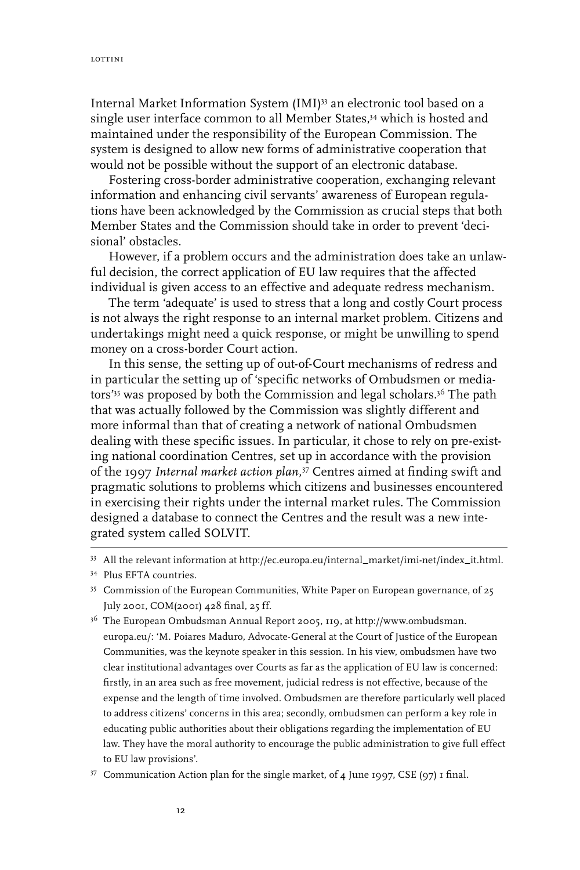Internal Market Information System (IMI)<sup>33</sup> an electronic tool based on a single user interface common to all Member States,<sup>34</sup> which is hosted and maintained under the responsibility of the European Commission. The system is designed to allow new forms of administrative cooperation that would not be possible without the support of an electronic database.

Fostering cross-border administrative cooperation, exchanging relevant information and enhancing civil servants' awareness of European regulations have been acknowledged by the Commission as crucial steps that both Member States and the Commission should take in order to prevent 'decisional' obstacles.

However, if a problem occurs and the administration does take an unlawful decision, the correct application of EU law requires that the affected individual is given access to an effective and adequate redress mechanism.

The term 'adequate' is used to stress that a long and costly Court process is not always the right response to an internal market problem. Citizens and undertakings might need a quick response, or might be unwilling to spend money on a cross-border Court action.

In this sense, the setting up of out-of-Court mechanisms of redress and in particular the setting up of 'specific networks of Ombudsmen or mediators'<sup>35</sup> was proposed by both the Commission and legal scholars.<sup>36</sup> The path that was actually followed by the Commission was slightly different and more informal than that of creating a network of national Ombudsmen dealing with these specific issues. In particular, it chose to rely on pre-existing national coordination Centres, set up in accordance with the provision of the 1997 *Internal market action plan,*<sup>37</sup> Centres aimed at finding swift and pragmatic solutions to problems which citizens and businesses encountered in exercising their rights under the internal market rules. The Commission designed a database to connect the Centres and the result was a new integrated system called SOLVIT.

33 All the relevant information at http://ec.europa.eu/internal\_market/imi-net/index\_it.html.

<sup>34</sup> Plus EFTA countries.

<sup>&</sup>lt;sup>35</sup> Commission of the European Communities, White Paper on European governance, of 25 July 2001, COM(2001) 428 final, 25 ff.

<sup>36</sup> The European Ombudsman Annual Report 2005, 119, at http://www.ombudsman. europa.eu/: 'M. Poiares Maduro, Advocate-General at the Court of Justice of the European Communities, was the keynote speaker in this session. In his view, ombudsmen have two clear institutional advantages over Courts as far as the application of EU law is concerned: firstly, in an area such as free movement, judicial redress is not effective, because of the expense and the length of time involved. Ombudsmen are therefore particularly well placed to address citizens' concerns in this area; secondly, ombudsmen can perform a key role in educating public authorities about their obligations regarding the implementation of EU law. They have the moral authority to encourage the public administration to give full effect to EU law provisions'.

<sup>37</sup> Communication Action plan for the single market, of 4 June 1997, CSE (97) 1 final.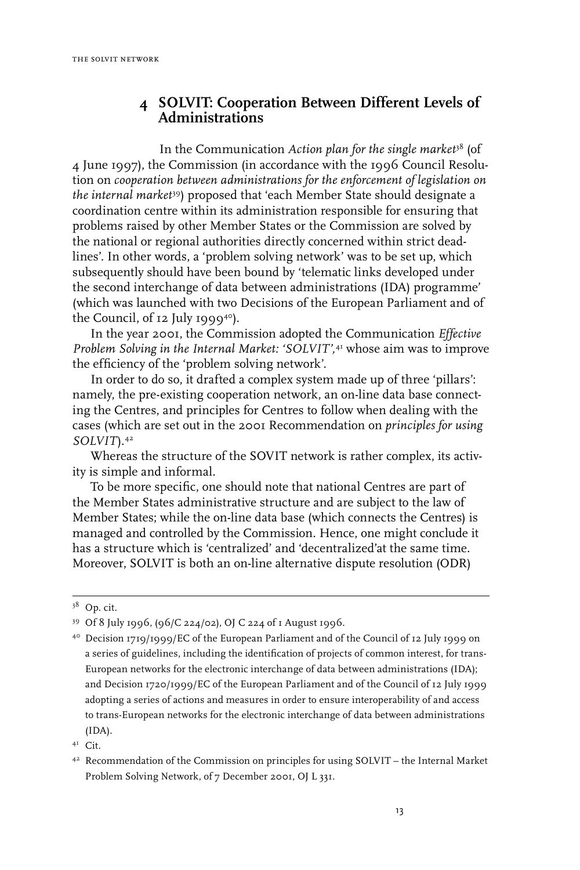## **4 SOLVIT: Cooperation Between Different Levels of Administrations**

In the Communication *Action plan for the single market*<sup>38</sup> (of 4 June 1997), the Commission (in accordance with the 1996 Council Resolution on *cooperation between administrations for the enforcement of legislation on the internal market*39) proposed that 'each Member State should designate a coordination centre within its administration responsible for ensuring that problems raised by other Member States or the Commission are solved by the national or regional authorities directly concerned within strict deadlines'. In other words, a 'problem solving network' was to be set up, which subsequently should have been bound by 'telematic links developed under the second interchange of data between administrations (IDA) programme' (which was launched with two Decisions of the European Parliament and of the Council, of  $I2$  July 1999<sup>40</sup>).

In the year 2001, the Commission adopted the Communication *Effective Problem Solving in the Internal Market: 'SOLVIT',*41 whose aim was to improve the efficiency of the 'problem solving network'.

In order to do so, it drafted a complex system made up of three 'pillars': namely, the pre-existing cooperation network, an on-line data base connecting the Centres, and principles for Centres to follow when dealing with the cases (which are set out in the 2001 Recommendation on *principles for using SOLVIT*).42

Whereas the structure of the SOVIT network is rather complex, its activity is simple and informal.

To be more specific, one should note that national Centres are part of the Member States administrative structure and are subject to the law of Member States; while the on-line data base (which connects the Centres) is managed and controlled by the Commission. Hence, one might conclude it has a structure which is 'centralized' and 'decentralized'at the same time. Moreover, SOLVIT is both an on-line alternative dispute resolution (ODR)

<sup>&</sup>lt;sup>38</sup> Op. cit.

<sup>39</sup> Of 8 July 1996, (96/C 224/02), OJ C 224 of 1 August 1996.

<sup>40</sup> Decision 1719/1999/EC of the European Parliament and of the Council of 12 July 1999 on a series of guidelines, including the identification of projects of common interest, for trans-European networks for the electronic interchange of data between administrations (IDA); and Decision 1720/1999/EC of the European Parliament and of the Council of 12 July 1999 adopting a series of actions and measures in order to ensure interoperability of and access to trans-European networks for the electronic interchange of data between administrations (IDA).

<sup>41</sup> Cit.

<sup>42</sup> Recommendation of the Commission on principles for using SOLVIT – the Internal Market Problem Solving Network, of 7 December 2001, OJ L 331.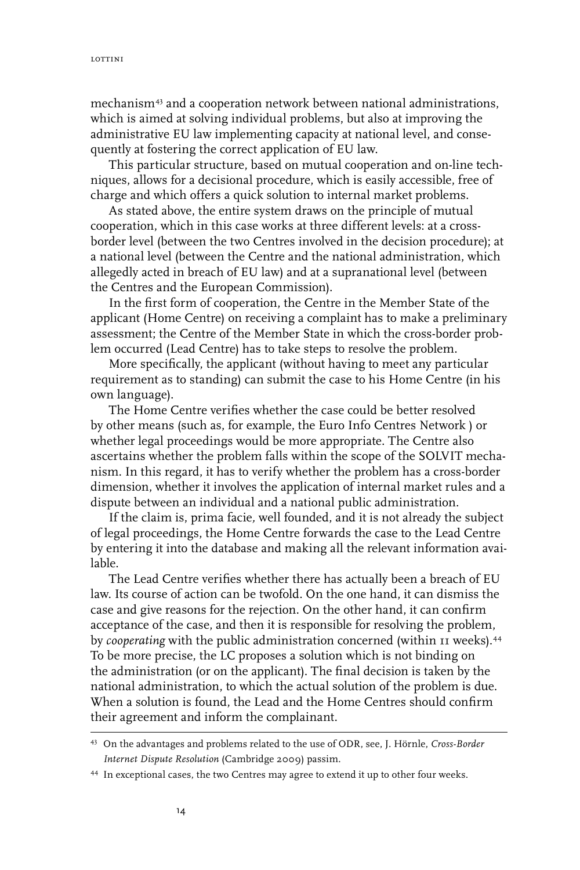mechanism43 and a cooperation network between national administrations, which is aimed at solving individual problems, but also at improving the administrative EU law implementing capacity at national level, and consequently at fostering the correct application of EU law.

This particular structure, based on mutual cooperation and on-line techniques, allows for a decisional procedure, which is easily accessible, free of charge and which offers a quick solution to internal market problems.

As stated above, the entire system draws on the principle of mutual cooperation, which in this case works at three different levels: at a crossborder level (between the two Centres involved in the decision procedure); at a national level (between the Centre and the national administration, which allegedly acted in breach of EU law) and at a supranational level (between the Centres and the European Commission).

In the first form of cooperation, the Centre in the Member State of the applicant (Home Centre) on receiving a complaint has to make a preliminary assessment; the Centre of the Member State in which the cross-border problem occurred (Lead Centre) has to take steps to resolve the problem.

More specifically, the applicant (without having to meet any particular requirement as to standing) can submit the case to his Home Centre (in his own language).

The Home Centre verifies whether the case could be better resolved by other means (such as, for example, the Euro Info Centres Network ) or whether legal proceedings would be more appropriate. The Centre also ascertains whether the problem falls within the scope of the SOLVIT mechanism. In this regard, it has to verify whether the problem has a cross-border dimension, whether it involves the application of internal market rules and a dispute between an individual and a national public administration.

If the claim is, prima facie*,* well founded, and it is not already the subject of legal proceedings, the Home Centre forwards the case to the Lead Centre by entering it into the database and making all the relevant information available.

The Lead Centre verifies whether there has actually been a breach of EU law. Its course of action can be twofold. On the one hand, it can dismiss the case and give reasons for the rejection. On the other hand, it can confirm acceptance of the case, and then it is responsible for resolving the problem, by *cooperating* with the public administration concerned (within 11 weeks).44 To be more precise, the LC proposes a solution which is not binding on the administration (or on the applicant). The final decision is taken by the national administration, to which the actual solution of the problem is due. When a solution is found, the Lead and the Home Centres should confirm their agreement and inform the complainant.

<sup>43</sup> On the advantages and problems related to the use of ODR, see, J. Hörnle, *Cross-Border Internet Dispute Resolution* (Cambridge 2009) passim.

<sup>44</sup> In exceptional cases, the two Centres may agree to extend it up to other four weeks.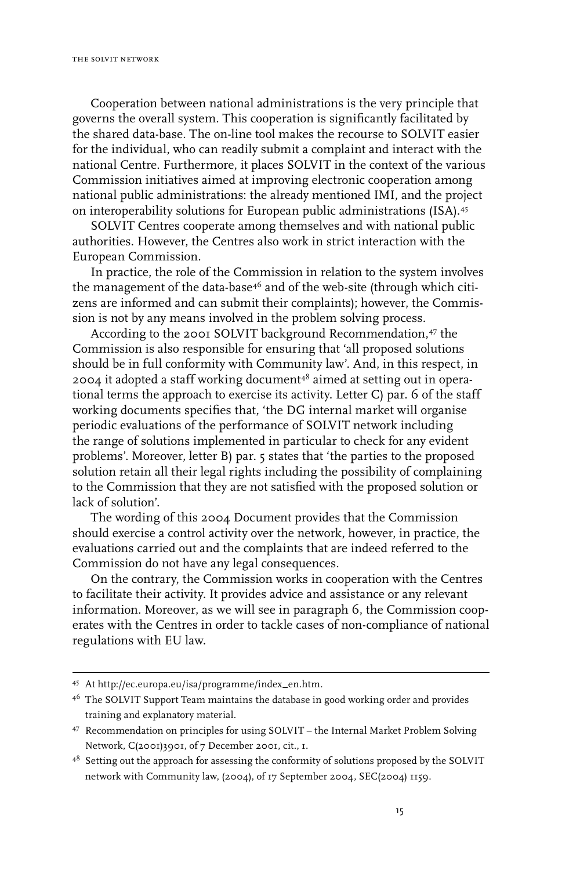Cooperation between national administrations is the very principle that governs the overall system. This cooperation is significantly facilitated by the shared data-base. The on-line tool makes the recourse to SOLVIT easier for the individual, who can readily submit a complaint and interact with the national Centre. Furthermore, it places SOLVIT in the context of the various Commission initiatives aimed at improving electronic cooperation among national public administrations: the already mentioned IMI, and the project on interoperability solutions for European public administrations (ISA).45

SOLVIT Centres cooperate among themselves and with national public authorities. However, the Centres also work in strict interaction with the European Commission.

In practice, the role of the Commission in relation to the system involves the management of the data-base<sup>46</sup> and of the web-site (through which citizens are informed and can submit their complaints); however, the Commission is not by any means involved in the problem solving process.

According to the 2001 SOLVIT background Recommendation,<sup>47</sup> the Commission is also responsible for ensuring that 'all proposed solutions should be in full conformity with Community law'. And, in this respect, in 2004 it adopted a staff working document<sup>48</sup> aimed at setting out in operational terms the approach to exercise its activity. Letter C) par. 6 of the staff working documents specifies that, 'the DG internal market will organise periodic evaluations of the performance of SOLVIT network including the range of solutions implemented in particular to check for any evident problems'. Moreover, letter B) par. 5 states that 'the parties to the proposed solution retain all their legal rights including the possibility of complaining to the Commission that they are not satisfied with the proposed solution or lack of solution'.

The wording of this 2004 Document provides that the Commission should exercise a control activity over the network, however, in practice, the evaluations carried out and the complaints that are indeed referred to the Commission do not have any legal consequences.

On the contrary, the Commission works in cooperation with the Centres to facilitate their activity. It provides advice and assistance or any relevant information. Moreover, as we will see in paragraph 6, the Commission cooperates with the Centres in order to tackle cases of non-compliance of national regulations with EU law.

<sup>45</sup> At http://ec.europa.eu/isa/programme/index\_en.htm.

<sup>&</sup>lt;sup>46</sup> The SOLVIT Support Team maintains the database in good working order and provides training and explanatory material.

<sup>47</sup> Recommendation on principles for using SOLVIT – the Internal Market Problem Solving Network, C(2001)3901, of 7 December 2001, cit., 1.

<sup>&</sup>lt;sup>48</sup> Setting out the approach for assessing the conformity of solutions proposed by the SOLVIT network with Community law, (2004), of 17 September 2004, SEC(2004) 1159.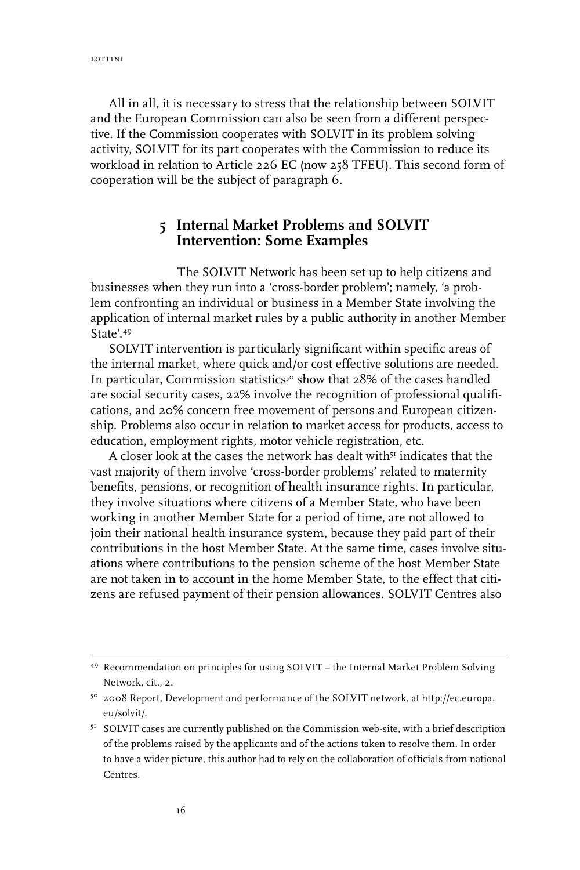All in all, it is necessary to stress that the relationship between SOLVIT and the European Commission can also be seen from a different perspective. If the Commission cooperates with SOLVIT in its problem solving activity, SOLVIT for its part cooperates with the Commission to reduce its workload in relation to Article 226 EC (now 258 TFEU). This second form of cooperation will be the subject of paragraph 6.

#### **5 Internal Market Problems and SOLVIT Intervention: Some Examples**

The SOLVIT Network has been set up to help citizens and businesses when they run into a 'cross-border problem'; namely, 'a problem confronting an individual or business in a Member State involving the application of internal market rules by a public authority in another Member State' 49

SOLVIT intervention is particularly significant within specific areas of the internal market, where quick and/or cost effective solutions are needed. In particular, Commission statistics<sup>50</sup> show that  $28\%$  of the cases handled are social security cases, 22% involve the recognition of professional qualifications, and 20% concern free movement of persons and European citizenship. Problems also occur in relation to market access for products, access to education, employment rights, motor vehicle registration, etc.

A closer look at the cases the network has dealt with $\mathfrak s^{\mathfrak r}$  indicates that the vast majority of them involve 'cross-border problems' related to maternity benefits, pensions, or recognition of health insurance rights. In particular, they involve situations where citizens of a Member State, who have been working in another Member State for a period of time, are not allowed to join their national health insurance system, because they paid part of their contributions in the host Member State. At the same time, cases involve situations where contributions to the pension scheme of the host Member State are not taken in to account in the home Member State, to the effect that citizens are refused payment of their pension allowances. SOLVIT Centres also

<sup>49</sup> Recommendation on principles for using SOLVIT – the Internal Market Problem Solving Network, cit., 2.

<sup>50 2008</sup> Report, Development and performance of the SOLVIT network, at http://ec.europa. eu/solvit/.

<sup>&</sup>lt;sup>51</sup> SOLVIT cases are currently published on the Commission web-site, with a brief description of the problems raised by the applicants and of the actions taken to resolve them. In order to have a wider picture, this author had to rely on the collaboration of officials from national Centres.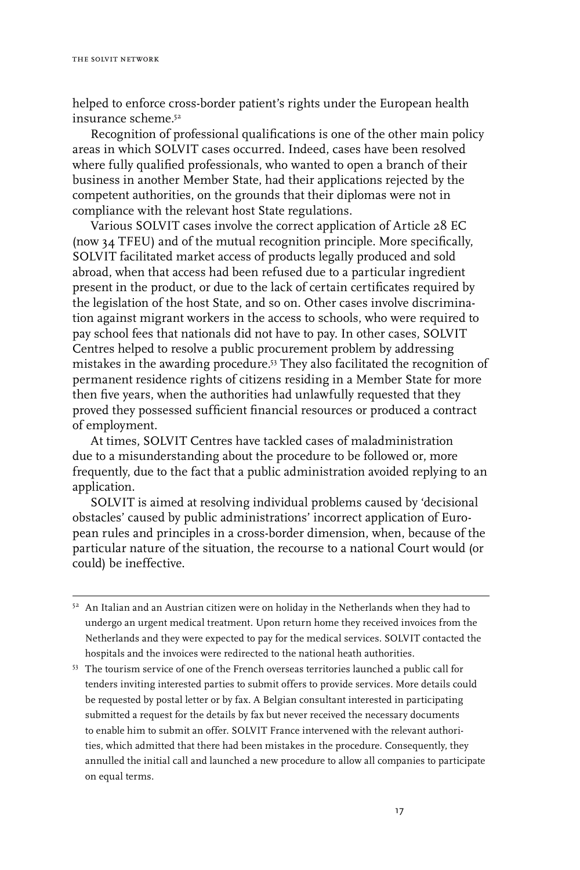helped to enforce cross-border patient's rights under the European health insurance scheme<sup>52</sup>

Recognition of professional qualifications is one of the other main policy areas in which SOLVIT cases occurred. Indeed, cases have been resolved where fully qualified professionals, who wanted to open a branch of their business in another Member State, had their applications rejected by the competent authorities, on the grounds that their diplomas were not in compliance with the relevant host State regulations.

Various SOLVIT cases involve the correct application of Article 28 EC (now 34 TFEU) and of the mutual recognition principle. More specifically, SOLVIT facilitated market access of products legally produced and sold abroad, when that access had been refused due to a particular ingredient present in the product, or due to the lack of certain certificates required by the legislation of the host State, and so on. Other cases involve discrimination against migrant workers in the access to schools, who were required to pay school fees that nationals did not have to pay. In other cases, SOLVIT Centres helped to resolve a public procurement problem by addressing mistakes in the awarding procedure.53 They also facilitated the recognition of permanent residence rights of citizens residing in a Member State for more then five years, when the authorities had unlawfully requested that they proved they possessed sufficient financial resources or produced a contract of employment.

At times, SOLVIT Centres have tackled cases of maladministration due to a misunderstanding about the procedure to be followed or, more frequently, due to the fact that a public administration avoided replying to an application.

SOLVIT is aimed at resolving individual problems caused by 'decisional obstacles' caused by public administrations' incorrect application of European rules and principles in a cross-border dimension, when, because of the particular nature of the situation, the recourse to a national Court would (or could) be ineffective.

- $52$  An Italian and an Austrian citizen were on holiday in the Netherlands when they had to undergo an urgent medical treatment. Upon return home they received invoices from the Netherlands and they were expected to pay for the medical services. SOLVIT contacted the hospitals and the invoices were redirected to the national heath authorities.
- <sup>53</sup> The tourism service of one of the French overseas territories launched a public call for tenders inviting interested parties to submit offers to provide services. More details could be requested by postal letter or by fax. A Belgian consultant interested in participating submitted a request for the details by fax but never received the necessary documents to enable him to submit an offer. SOLVIT France intervened with the relevant authorities, which admitted that there had been mistakes in the procedure. Consequently, they annulled the initial call and launched a new procedure to allow all companies to participate on equal terms.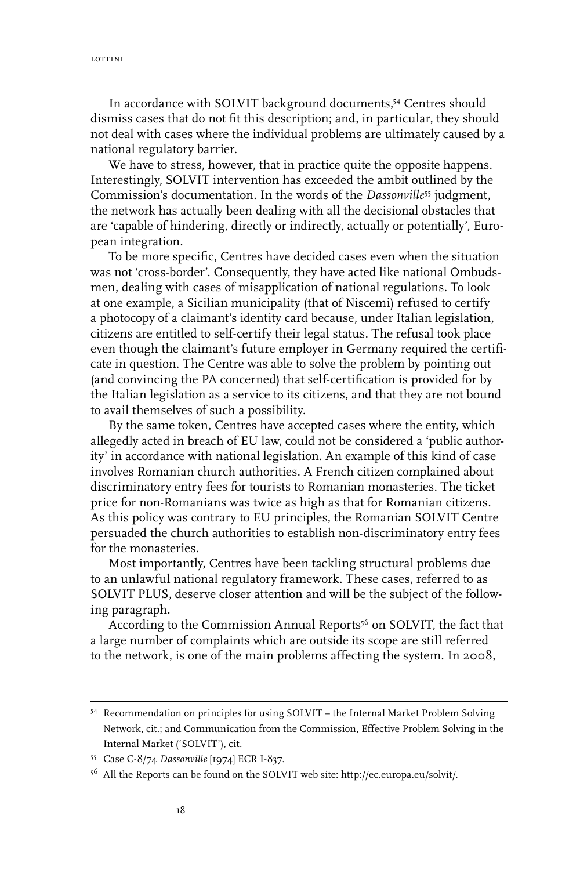lottini

In accordance with SOLVIT background documents,54 Centres should dismiss cases that do not fit this description; and, in particular, they should not deal with cases where the individual problems are ultimately caused by a national regulatory barrier.

We have to stress, however, that in practice quite the opposite happens. Interestingly, SOLVIT intervention has exceeded the ambit outlined by the Commission's documentation. In the words of the *Dassonville*55 judgment, the network has actually been dealing with all the decisional obstacles that are 'capable of hindering, directly or indirectly, actually or potentially', European integration.

To be more specific, Centres have decided cases even when the situation was not 'cross-border'. Consequently, they have acted like national Ombudsmen, dealing with cases of misapplication of national regulations. To look at one example, a Sicilian municipality (that of Niscemi) refused to certify a photocopy of a claimant's identity card because, under Italian legislation, citizens are entitled to self-certify their legal status. The refusal took place even though the claimant's future employer in Germany required the certificate in question. The Centre was able to solve the problem by pointing out (and convincing the PA concerned) that self-certification is provided for by the Italian legislation as a service to its citizens, and that they are not bound to avail themselves of such a possibility.

By the same token, Centres have accepted cases where the entity, which allegedly acted in breach of EU law, could not be considered a 'public authority' in accordance with national legislation. An example of this kind of case involves Romanian church authorities. A French citizen complained about discriminatory entry fees for tourists to Romanian monasteries. The ticket price for non-Romanians was twice as high as that for Romanian citizens. As this policy was contrary to EU principles, the Romanian SOLVIT Centre persuaded the church authorities to establish non-discriminatory entry fees for the monasteries.

Most importantly, Centres have been tackling structural problems due to an unlawful national regulatory framework. These cases, referred to as SOLVIT PLUS, deserve closer attention and will be the subject of the following paragraph.

According to the Commission Annual Reports<sup>56</sup> on SOLVIT, the fact that a large number of complaints which are outside its scope are still referred to the network, is one of the main problems affecting the system. In 2008,

<sup>54</sup> Recommendation on principles for using SOLVIT – the Internal Market Problem Solving Network, cit.; and Communication from the Commission, Effective Problem Solving in the Internal Market ('SOLVIT'), cit.

<sup>55</sup> Case C-8/74 *Dassonville* [1974] ECR I-837.

<sup>56</sup> All the Reports can be found on the SOLVIT web site: http://ec.europa.eu/solvit/.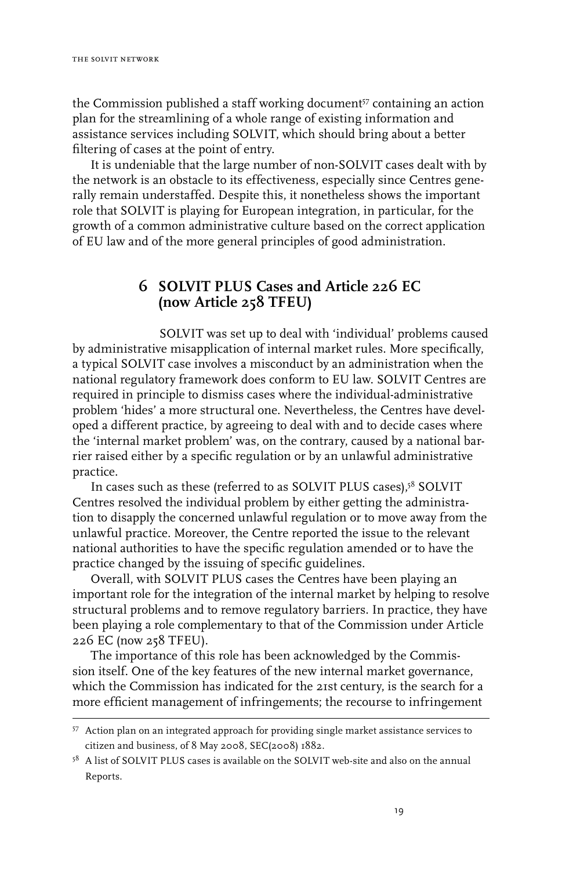the Commission published a staff working document57 containing an action plan for the streamlining of a whole range of existing information and assistance services including SOLVIT, which should bring about a better filtering of cases at the point of entry.

It is undeniable that the large number of non-SOLVIT cases dealt with by the network is an obstacle to its effectiveness, especially since Centres generally remain understaffed. Despite this, it nonetheless shows the important role that SOLVIT is playing for European integration, in particular, for the growth of a common administrative culture based on the correct application of EU law and of the more general principles of good administration.

### **6 SOLVIT PLUS Cases and Article 226 EC (now Article 258 TFEU)**

SOLVIT was set up to deal with 'individual' problems caused by administrative misapplication of internal market rules. More specifically, a typical SOLVIT case involves a misconduct by an administration when the national regulatory framework does conform to EU law. SOLVIT Centres are required in principle to dismiss cases where the individual-administrative problem 'hides' a more structural one. Nevertheless, the Centres have developed a different practice, by agreeing to deal with and to decide cases where the 'internal market problem' was, on the contrary, caused by a national barrier raised either by a specific regulation or by an unlawful administrative practice.

In cases such as these (referred to as SOLVIT PLUS cases),<sup>58</sup> SOLVIT Centres resolved the individual problem by either getting the administration to disapply the concerned unlawful regulation or to move away from the unlawful practice. Moreover, the Centre reported the issue to the relevant national authorities to have the specific regulation amended or to have the practice changed by the issuing of specific guidelines.

Overall, with SOLVIT PLUS cases the Centres have been playing an important role for the integration of the internal market by helping to resolve structural problems and to remove regulatory barriers. In practice, they have been playing a role complementary to that of the Commission under Article 226 EC (now 258 TFEU).

The importance of this role has been acknowledged by the Commission itself. One of the key features of the new internal market governance, which the Commission has indicated for the 21st century, is the search for a more efficient management of infringements; the recourse to infringement

<sup>57</sup> Action plan on an integrated approach for providing single market assistance services to citizen and business, of 8 May 2008, SEC(2008) 1882.

<sup>&</sup>lt;sup>58</sup> A list of SOLVIT PLUS cases is available on the SOLVIT web-site and also on the annual Reports.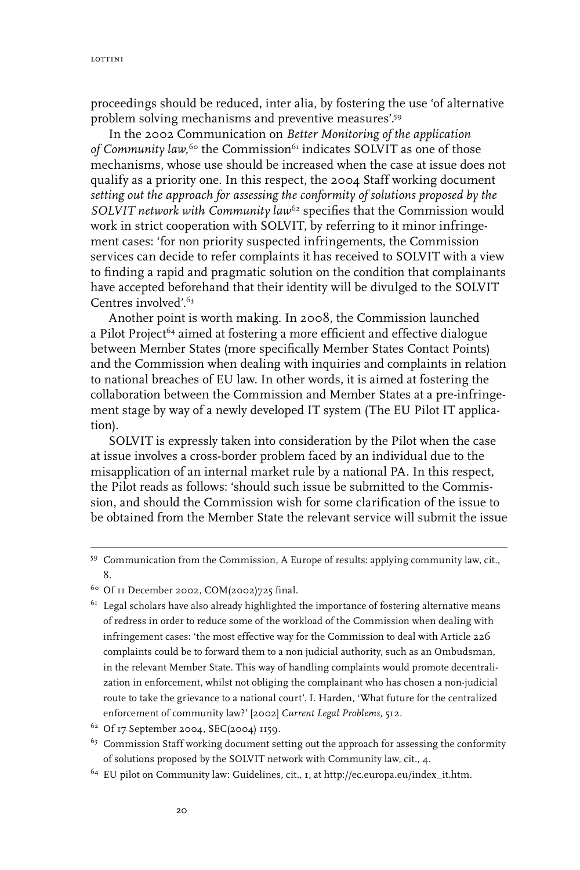proceedings should be reduced, inter alia, by fostering the use 'of alternative problem solving mechanisms and preventive measures'.59

In the 2002 Communication on *Better Monitoring of the application*  of Community law, <sup>60</sup> the Commission<sup>61</sup> indicates SOLVIT as one of those mechanisms, whose use should be increased when the case at issue does not qualify as a priority one. In this respect, the 2004 Staff working document *setting out the approach for assessing the conformity of solutions proposed by the*  SOLVIT network with Community law<sup>62</sup> specifies that the Commission would work in strict cooperation with SOLVIT, by referring to it minor infringement cases: 'for non priority suspected infringements, the Commission services can decide to refer complaints it has received to SOLVIT with a view to finding a rapid and pragmatic solution on the condition that complainants have accepted beforehand that their identity will be divulged to the SOLVIT Centres involved'.63

Another point is worth making. In 2008, the Commission launched a Pilot Project<sup>64</sup> aimed at fostering a more efficient and effective dialogue between Member States (more specifically Member States Contact Points) and the Commission when dealing with inquiries and complaints in relation to national breaches of EU law. In other words, it is aimed at fostering the collaboration between the Commission and Member States at a pre-infringement stage by way of a newly developed IT system (The EU Pilot IT application).

SOLVIT is expressly taken into consideration by the Pilot when the case at issue involves a cross-border problem faced by an individual due to the misapplication of an internal market rule by a national PA. In this respect, the Pilot reads as follows: 'should such issue be submitted to the Commission, and should the Commission wish for some clarification of the issue to be obtained from the Member State the relevant service will submit the issue

64 EU pilot on Community law: Guidelines, cit., 1, at http://ec.europa.eu/index\_it.htm.

<sup>59</sup> Communication from the Commission, A Europe of results: applying community law, cit., 8.

<sup>&</sup>lt;sup>60</sup> Of 11 December 2002, COM(2002)725 final.

 $61$  Legal scholars have also already highlighted the importance of fostering alternative means of redress in order to reduce some of the workload of the Commission when dealing with infringement cases: 'the most effective way for the Commission to deal with Article 226 complaints could be to forward them to a non judicial authority, such as an Ombudsman, in the relevant Member State. This way of handling complaints would promote decentralization in enforcement, whilst not obliging the complainant who has chosen a non-judicial route to take the grievance to a national court'. I. Harden, 'What future for the centralized enforcement of community law?' [2002] *Current Legal Problems,* 512.

<sup>62</sup> Of 17 September 2004, SEC(2004) 1159.

<sup>&</sup>lt;sup>63</sup> Commission Staff working document setting out the approach for assessing the conformity of solutions proposed by the SOLVIT network with Community law, cit., 4.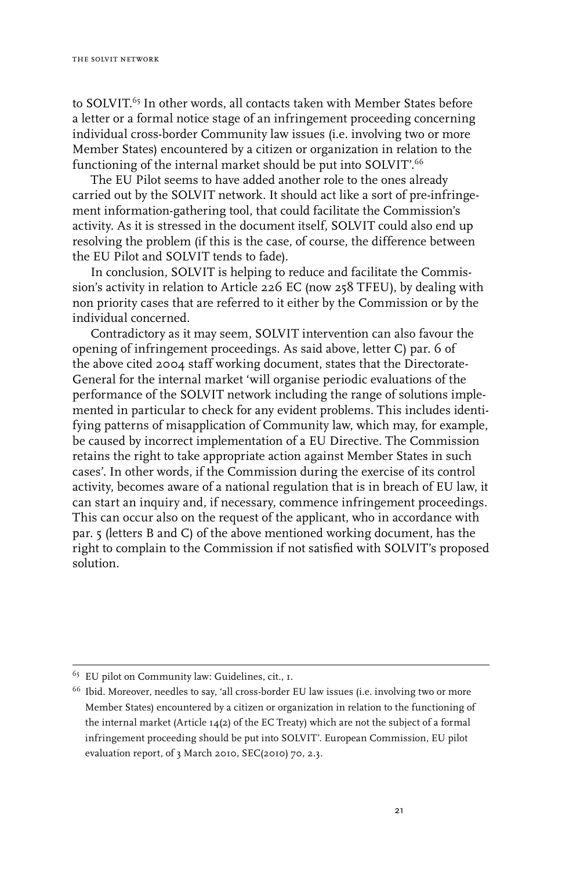to SOLVIT.<sup>65</sup> In other words, all contacts taken with Member States before a letter or a formal notice stage of an infringement proceeding concerning individual cross-border Community law issues (i.e. involving two or more Member States) encountered by a citizen or organization in relation to the functioning of the internal market should be put into SOLVIT'.<sup>66</sup>

The EU Pilot seems to have added another role to the ones already carried out by the SOLVIT network. It should act like a sort of pre-infringement information-gathering tool, that could facilitate the Commission's activity. As it is stressed in the document itself, SOLVIT could also end up resolving the problem (if this is the case, of course, the difference between the EU Pilot and SOLVIT tends to fade).

In conclusion, SOLVIT is helping to reduce and facilitate the Commission's activity in relation to Article 226 EC (now 258 TFEU), by dealing with non priority cases that are referred to it either by the Commission or by the individual concerned.

Contradictory as it may seem, SOLVIT intervention can also favour the opening of infringement proceedings. As said above, letter C) par. 6 of the above cited 2004 staff working document, states that the Directorate-General for the internal market 'will organise periodic evaluations of the performance of the SOLVIT network including the range of solutions implemented in particular to check for any evident problems. This includes identifying patterns of misapplication of Community law, which may, for example, be caused by incorrect implementation of a EU Directive. The Commission retains the right to take appropriate action against Member States in such cases'. In other words, if the Commission during the exercise of its control activity, becomes aware of a national regulation that is in breach of EU law, it can start an inquiry and, if necessary, commence infringement proceedings. This can occur also on the request of the applicant, who in accordance with par. 5 (letters B and C) of the above mentioned working document, has the right to complain to the Commission if not satisfied with SOLVIT's proposed solution.

<sup>65</sup> EU pilot on Community law: Guidelines, cit., 1.

<sup>&</sup>lt;sup>66</sup> Ibid. Moreover, needles to say, 'all cross-border EU law issues (i.e. involving two or more Member States) encountered by a citizen or organization in relation to the functioning of the internal market (Article 14(2) of the EC Treaty) which are not the subject of a formal infringement proceeding should be put into SOLVIT'. European Commission, EU pilot evaluation report, of 3 March 2010, SEC(2010) 70, 2.3.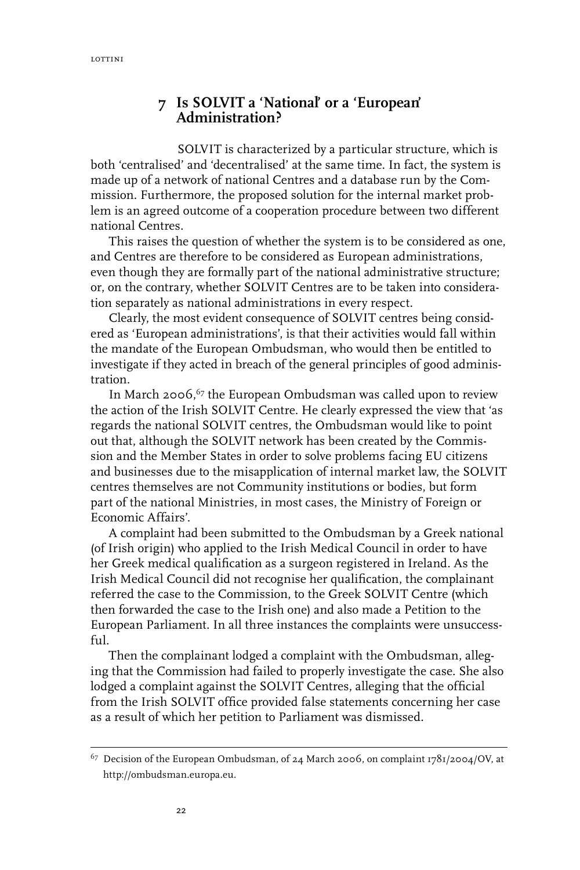### **7 Is SOLVIT a 'National' or a 'European' Administration?**

SOLVIT is characterized by a particular structure, which is both 'centralised' and 'decentralised' at the same time. In fact, the system is made up of a network of national Centres and a database run by the Commission. Furthermore, the proposed solution for the internal market problem is an agreed outcome of a cooperation procedure between two different national Centres.

This raises the question of whether the system is to be considered as one, and Centres are therefore to be considered as European administrations, even though they are formally part of the national administrative structure; or, on the contrary, whether SOLVIT Centres are to be taken into consideration separately as national administrations in every respect.

Clearly, the most evident consequence of SOLVIT centres being considered as 'European administrations', is that their activities would fall within the mandate of the European Ombudsman, who would then be entitled to investigate if they acted in breach of the general principles of good administration.

In March 2006, $67$  the European Ombudsman was called upon to review the action of the Irish SOLVIT Centre. He clearly expressed the view that 'as regards the national SOLVIT centres, the Ombudsman would like to point out that, although the SOLVIT network has been created by the Commission and the Member States in order to solve problems facing EU citizens and businesses due to the misapplication of internal market law, the SOLVIT centres themselves are not Community institutions or bodies, but form part of the national Ministries, in most cases, the Ministry of Foreign or Economic Affairs'.

A complaint had been submitted to the Ombudsman by a Greek national (of Irish origin) who applied to the Irish Medical Council in order to have her Greek medical qualification as a surgeon registered in Ireland. As the Irish Medical Council did not recognise her qualification, the complainant referred the case to the Commission, to the Greek SOLVIT Centre (which then forwarded the case to the Irish one) and also made a Petition to the European Parliament. In all three instances the complaints were unsuccessful.

Then the complainant lodged a complaint with the Ombudsman, alleging that the Commission had failed to properly investigate the case. She also lodged a complaint against the SOLVIT Centres, alleging that the official from the Irish SOLVIT office provided false statements concerning her case as a result of which her petition to Parliament was dismissed.

 $67$  Decision of the European Ombudsman, of 24 March 2006, on complaint 1781/2004/OV, at http://ombudsman.europa.eu.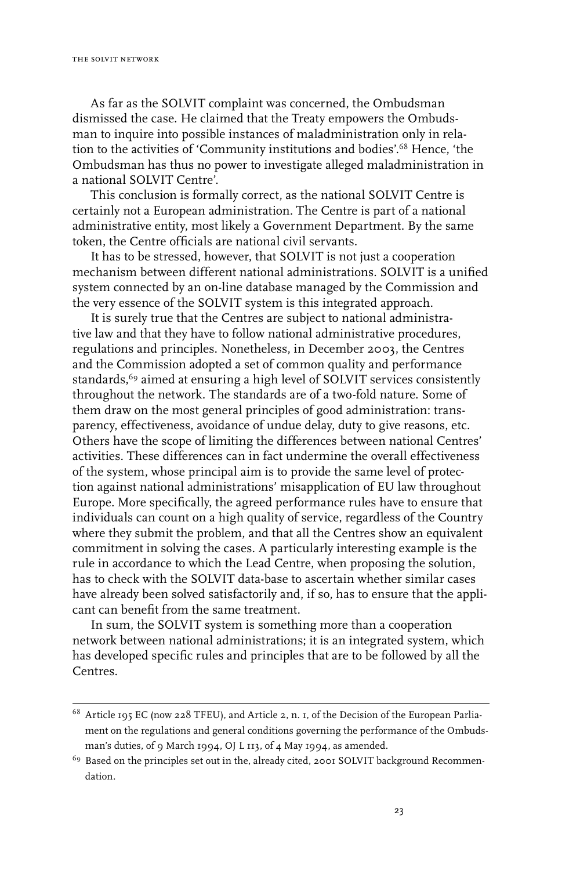As far as the SOLVIT complaint was concerned, the Ombudsman dismissed the case. He claimed that the Treaty empowers the Ombudsman to inquire into possible instances of maladministration only in relation to the activities of 'Community institutions and bodies'.68 Hence, 'the Ombudsman has thus no power to investigate alleged maladministration in a national SOLVIT Centre'.

This conclusion is formally correct, as the national SOLVIT Centre is certainly not a European administration. The Centre is part of a national administrative entity, most likely a Government Department. By the same token, the Centre officials are national civil servants.

It has to be stressed, however, that SOLVIT is not just a cooperation mechanism between different national administrations. SOLVIT is a unified system connected by an on-line database managed by the Commission and the very essence of the SOLVIT system is this integrated approach.

It is surely true that the Centres are subject to national administrative law and that they have to follow national administrative procedures, regulations and principles. Nonetheless, in December 2003, the Centres and the Commission adopted a set of common quality and performance standards,<sup>69</sup> aimed at ensuring a high level of SOLVIT services consistently throughout the network. The standards are of a two-fold nature. Some of them draw on the most general principles of good administration: transparency, effectiveness, avoidance of undue delay, duty to give reasons, etc. Others have the scope of limiting the differences between national Centres' activities. These differences can in fact undermine the overall effectiveness of the system, whose principal aim is to provide the same level of protection against national administrations' misapplication of EU law throughout Europe. More specifically, the agreed performance rules have to ensure that individuals can count on a high quality of service, regardless of the Country where they submit the problem, and that all the Centres show an equivalent commitment in solving the cases. A particularly interesting example is the rule in accordance to which the Lead Centre, when proposing the solution, has to check with the SOLVIT data-base to ascertain whether similar cases have already been solved satisfactorily and, if so, has to ensure that the applicant can benefit from the same treatment.

In sum, the SOLVIT system is something more than a cooperation network between national administrations; it is an integrated system, which has developed specific rules and principles that are to be followed by all the Centres.

<sup>68</sup> Article 195 EC (now 228 TFEU), and Article 2, n. 1, of the Decision of the European Parliament on the regulations and general conditions governing the performance of the Ombudsman's duties, of 9 March 1994, OJ L 113, of 4 May 1994, as amended.

 $69$  Based on the principles set out in the, already cited, 2001 SOLVIT background Recommendation.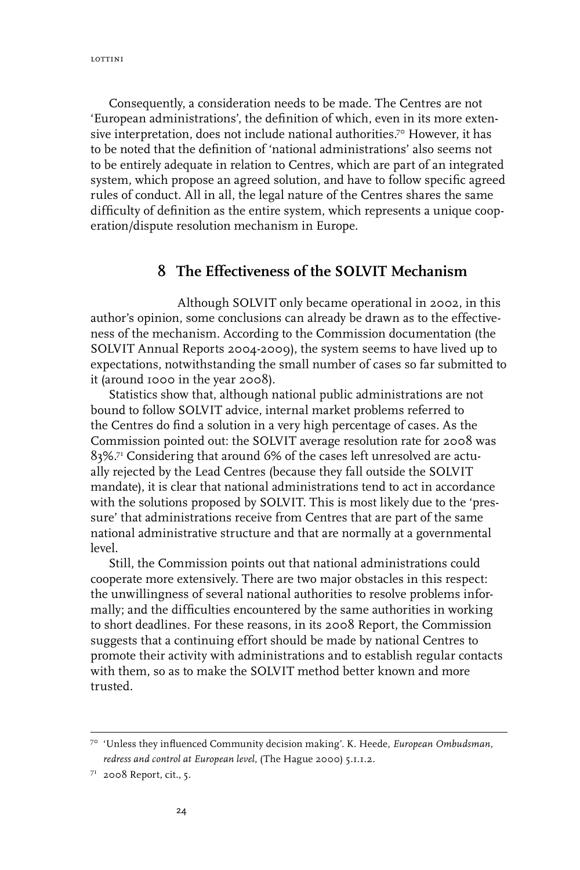Consequently, a consideration needs to be made. The Centres are not 'European administrations', the definition of which, even in its more extensive interpretation, does not include national authorities.<sup>70</sup> However, it has to be noted that the definition of 'national administrations' also seems not to be entirely adequate in relation to Centres, which are part of an integrated system, which propose an agreed solution, and have to follow specific agreed rules of conduct. All in all, the legal nature of the Centres shares the same difficulty of definition as the entire system, which represents a unique cooperation/dispute resolution mechanism in Europe.

#### **8 The Effectiveness of the SOLVIT Mechanism**

Although SOLVIT only became operational in 2002, in this author's opinion, some conclusions can already be drawn as to the effectiveness of the mechanism. According to the Commission documentation (the SOLVIT Annual Reports 2004-2009), the system seems to have lived up to expectations, notwithstanding the small number of cases so far submitted to it (around 1000 in the year 2008).

Statistics show that, although national public administrations are not bound to follow SOLVIT advice, internal market problems referred to the Centres do find a solution in a very high percentage of cases. As the Commission pointed out: the SOLVIT average resolution rate for 2008 was  $8$ 3%. $^{7}$  Considering that around 6% of the cases left unresolved are actually rejected by the Lead Centres (because they fall outside the SOLVIT mandate), it is clear that national administrations tend to act in accordance with the solutions proposed by SOLVIT. This is most likely due to the 'pressure' that administrations receive from Centres that are part of the same national administrative structure and that are normally at a governmental level.

Still, the Commission points out that national administrations could cooperate more extensively. There are two major obstacles in this respect: the unwillingness of several national authorities to resolve problems informally; and the difficulties encountered by the same authorities in working to short deadlines. For these reasons, in its 2008 Report, the Commission suggests that a continuing effort should be made by national Centres to promote their activity with administrations and to establish regular contacts with them, so as to make the SOLVIT method better known and more trusted.

<sup>70 &#</sup>x27;Unless they influenced Community decision making'. K. Heede, *European Ombudsman, redress and control at European level*, (The Hague 2000) 5.1.1.2.

<sup>71</sup> 2008 Report, cit., 5.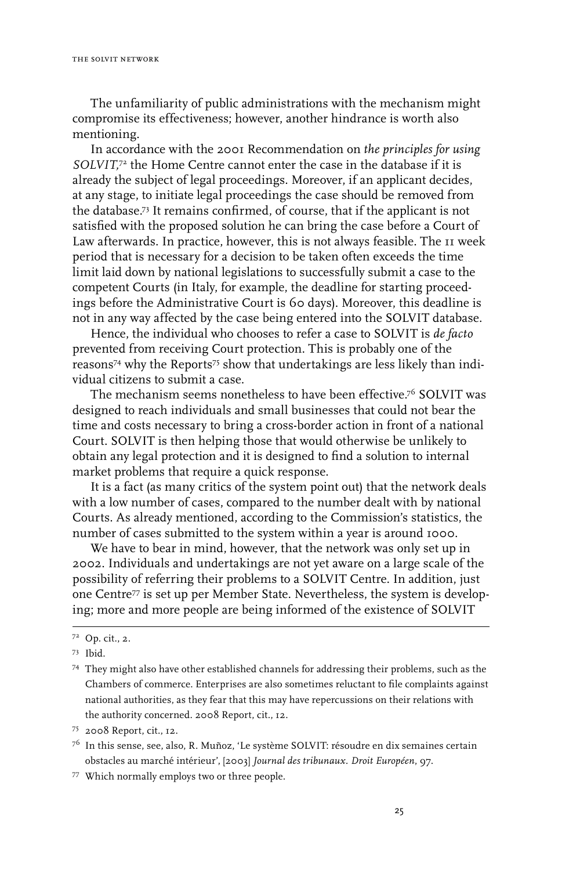The unfamiliarity of public administrations with the mechanism might compromise its effectiveness; however, another hindrance is worth also mentioning.

In accordance with the 2001 Recommendation on *the principles for using SOLVIT,*<sup>72</sup> the Home Centre cannot enter the case in the database if it is already the subject of legal proceedings. Moreover, if an applicant decides, at any stage, to initiate legal proceedings the case should be removed from the database.73 It remains confirmed, of course, that if the applicant is not satisfied with the proposed solution he can bring the case before a Court of Law afterwards. In practice, however, this is not always feasible. The 11 week period that is necessary for a decision to be taken often exceeds the time limit laid down by national legislations to successfully submit a case to the competent Courts (in Italy, for example, the deadline for starting proceedings before the Administrative Court is 60 days). Moreover, this deadline is not in any way affected by the case being entered into the SOLVIT database.

Hence, the individual who chooses to refer a case to SOLVIT is *de facto* prevented from receiving Court protection. This is probably one of the reasons74 why the Reports75 show that undertakings are less likely than individual citizens to submit a case.

The mechanism seems nonetheless to have been effective.76 SOLVIT was designed to reach individuals and small businesses that could not bear the time and costs necessary to bring a cross-border action in front of a national Court. SOLVIT is then helping those that would otherwise be unlikely to obtain any legal protection and it is designed to find a solution to internal market problems that require a quick response.

It is a fact (as many critics of the system point out) that the network deals with a low number of cases, compared to the number dealt with by national Courts. As already mentioned, according to the Commission's statistics, the number of cases submitted to the system within a year is around 1000.

We have to bear in mind, however, that the network was only set up in 2002. Individuals and undertakings are not yet aware on a large scale of the possibility of referring their problems to a SOLVIT Centre. In addition, just one Centre<sup>77</sup> is set up per Member State. Nevertheless, the system is developing; more and more people are being informed of the existence of SOLVIT

77 Which normally employs two or three people.

<sup>72</sup> Op. cit., 2.

<sup>73</sup> Ibid.

<sup>74</sup> They might also have other established channels for addressing their problems, such as the Chambers of commerce. Enterprises are also sometimes reluctant to file complaints against national authorities, as they fear that this may have repercussions on their relations with the authority concerned. 2008 Report, cit., 12.

<sup>75 2008</sup> Report, cit., 12.

 $7<sup>6</sup>$  In this sense, see, also, R. Muñoz, 'Le système SOLVIT: résoudre en dix semaines certain obstacles au marché intérieur', [2003] *Journal des tribunaux. Droit Européen*, 97.